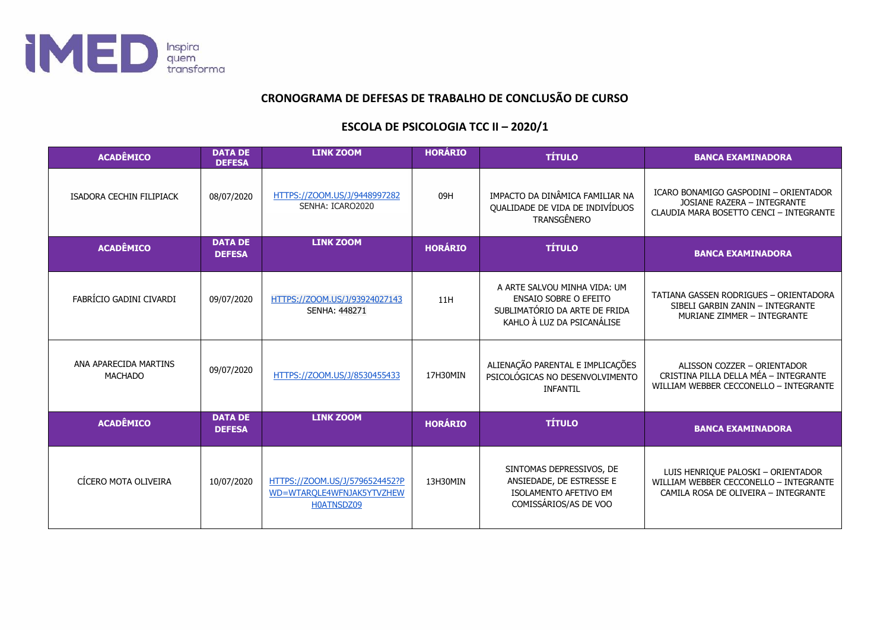

## CRONOGRAMA DE DEFESAS DE TRABALHO DE CONCLUSÃO DE CURSO

## **ESCOLA DE PSICOLOGIA TCC II - 2020/1**

| <b>ACADÊMICO</b>                        | <b>DATA DE</b><br><b>DEFESA</b> | <b>LINK ZOOM</b>                                                          | <b>HORÁRIO</b> | <b>TÍTULO</b>                                                                                                               | <b>BANCA EXAMINADORA</b>                                                                                             |
|-----------------------------------------|---------------------------------|---------------------------------------------------------------------------|----------------|-----------------------------------------------------------------------------------------------------------------------------|----------------------------------------------------------------------------------------------------------------------|
| ISADORA CECHIN FILIPIACK                | 08/07/2020                      | HTTPS://ZOOM.US/J/9448997282<br>SENHA: ICARO2020                          | 09H            | IMPACTO DA DINÂMICA FAMILIAR NA<br>QUALIDADE DE VIDA DE INDIVÍDUOS<br>TRANSGÊNERO                                           | ICARO BONAMIGO GASPODINI - ORIENTADOR<br>JOSIANE RAZERA - INTEGRANTE<br>CLAUDIA MARA BOSETTO CENCI - INTEGRANTE      |
| <b>ACADÊMICO</b>                        | <b>DATA DE</b><br><b>DEFESA</b> | <b>LINK ZOOM</b>                                                          | <b>HORÁRIO</b> | <b>TÍTULO</b>                                                                                                               | <b>BANCA EXAMINADORA</b>                                                                                             |
| FABRÍCIO GADINI CIVARDI                 | 09/07/2020                      | HTTPS://ZOOM.US/J/93924027143<br><b>SENHA: 448271</b>                     | 11H            | A ARTE SALVOU MINHA VIDA: UM<br><b>ENSAIO SOBRE O EFEITO</b><br>SUBLIMATÓRIO DA ARTE DE FRIDA<br>KAHLO À LUZ DA PSICANÁLISE | TATIANA GASSEN RODRIGUES - ORIENTADORA<br>SIBELI GARBIN ZANIN - INTEGRANTE<br>MURIANE ZIMMER - INTEGRANTE            |
| ANA APARECIDA MARTINS<br><b>MACHADO</b> | 09/07/2020                      | HTTPS://ZOOM.US/J/8530455433                                              | 17H30MIN       | ALIENAÇÃO PARENTAL E IMPLICAÇÕES<br>PSICOLÓGICAS NO DESENVOLVIMENTO<br><b>INFANTIL</b>                                      | ALISSON COZZER - ORIENTADOR<br>CRISTINA PILLA DELLA MÉA - INTEGRANTE<br>WILLIAM WEBBER CECCONELLO - INTEGRANTE       |
| <b>ACADÊMICO</b>                        | <b>DATA DE</b><br><b>DEFESA</b> | <b>LINK ZOOM</b>                                                          | <b>HORÁRIO</b> | <b>TÍTULO</b>                                                                                                               | <b>BANCA EXAMINADORA</b>                                                                                             |
| CÍCERO MOTA OLIVEIRA                    | 10/07/2020                      | HTTPS://ZOOM.US/J/5796524452?P<br>WD=WTAROLE4WFNJAK5YTVZHEW<br>H0ATNSDZ09 | 13H30MIN       | SINTOMAS DEPRESSIVOS, DE<br>ANSIEDADE, DE ESTRESSE E<br><b>ISOLAMENTO AFETIVO EM</b><br>COMISSÁRIOS/AS DE VOO               | LUIS HENRIQUE PALOSKI - ORIENTADOR<br>WILLIAM WEBBER CECCONELLO - INTEGRANTE<br>CAMILA ROSA DE OLIVEIRA - INTEGRANTE |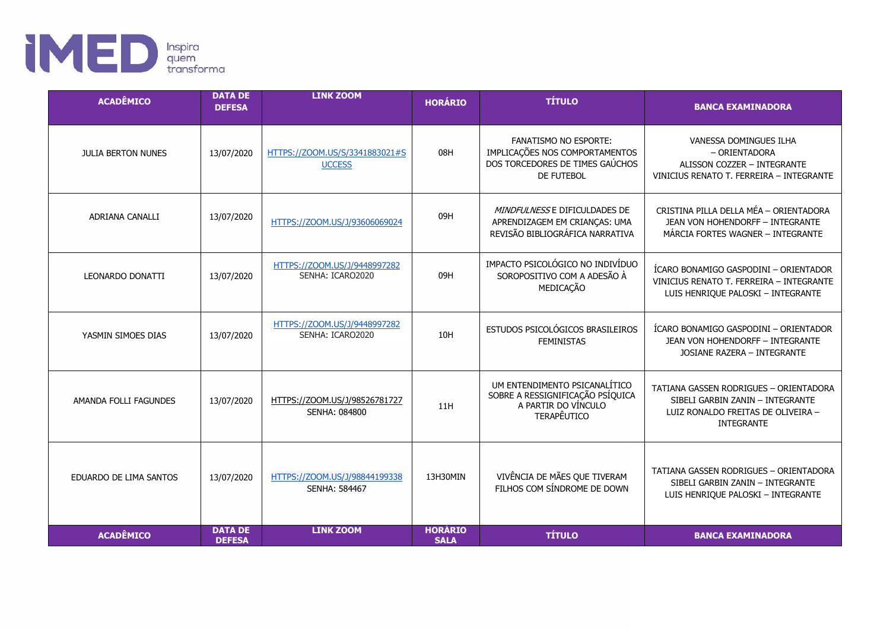

| <b>ACADÊMICO</b>          | <b>DATA DE</b><br><b>DEFESA</b> | <b>LINK ZOOM</b>                                 | <b>HORÁRIO</b>                | <b>TÍTULO</b>                                                                                                   | <b>BANCA EXAMINADORA</b>                                                                                                              |
|---------------------------|---------------------------------|--------------------------------------------------|-------------------------------|-----------------------------------------------------------------------------------------------------------------|---------------------------------------------------------------------------------------------------------------------------------------|
| <b>JULIA BERTON NUNES</b> | 13/07/2020                      | HTTPS://ZOOM.US/S/3341883021#S<br><b>UCCESS</b>  | 08H                           | <b>FANATISMO NO ESPORTE:</b><br>IMPLICAÇÕES NOS COMPORTAMENTOS<br>DOS TORCEDORES DE TIMES GAÚCHOS<br>DE FUTEBOL | VANESSA DOMINGUES ILHA<br>- ORIENTADORA<br>ALISSON COZZER - INTEGRANTE<br>VINICIUS RENATO T. FERREIRA - INTEGRANTE                    |
| <b>ADRIANA CANALLI</b>    | 13/07/2020                      | HTTPS://ZOOM.US/J/93606069024                    | 09H                           | MINDFULNESS E DIFICULDADES DE<br>APRENDIZAGEM EM CRIANÇAS: UMA<br>REVISÃO BIBLIOGRÁFICA NARRATIVA               | CRISTINA PILLA DELLA MÉA - ORIENTADORA<br>JEAN VON HOHENDORFF - INTEGRANTE<br>MÁRCIA FORTES WAGNER - INTEGRANTE                       |
| LEONARDO DONATTI          | 13/07/2020                      | HTTPS://ZOOM.US/J/9448997282<br>SENHA: ICARO2020 | 09H                           | IMPACTO PSICOLÓGICO NO INDIVÍDUO<br>SOROPOSITIVO COM A ADESÃO À<br>MEDICAÇÃO                                    | ÍCARO BONAMIGO GASPODINI - ORIENTADOR<br>VINICIUS RENATO T. FERREIRA - INTEGRANTE<br>LUIS HENRIQUE PALOSKI - INTEGRANTE               |
| YASMIN SIMOES DIAS        | 13/07/2020                      | HTTPS://ZOOM.US/J/9448997282<br>SENHA: ICARO2020 | 10H                           | ESTUDOS PSICOLÓGICOS BRASILEIROS<br><b>FEMINISTAS</b>                                                           | ÍCARO BONAMIGO GASPODINI - ORIENTADOR<br><b>JEAN VON HOHENDORFF - INTEGRANTE</b><br>JOSIANE RAZERA - INTEGRANTE                       |
| AMANDA FOLLI FAGUNDES     | 13/07/2020                      | HTTPS://ZOOM.US/J/98526781727<br>SENHA: 084800   | 11H                           | UM ENTENDIMENTO PSICANALÍTICO<br>SOBRE A RESSIGNIFICAÇÃO PSÍQUICA<br>A PARTIR DO VÍNCULO<br>TERAPÊUTICO         | TATIANA GASSEN RODRIGUES - ORIENTADORA<br>SIBELI GARBIN ZANIN - INTEGRANTE<br>LUIZ RONALDO FREITAS DE OLIVEIRA -<br><b>INTEGRANTE</b> |
| EDUARDO DE LIMA SANTOS    | 13/07/2020                      | HTTPS://ZOOM.US/J/98844199338<br>SENHA: 584467   | 13H30MIN                      | VIVÊNCIA DE MÃES QUE TIVERAM<br>FILHOS COM SÍNDROME DE DOWN                                                     | TATIANA GASSEN RODRIGUES - ORIENTADORA<br>SIBELI GARBIN ZANIN - INTEGRANTE<br>LUIS HENRIQUE PALOSKI - INTEGRANTE                      |
| <b>ACADÊMICO</b>          | <b>DATA DE</b><br><b>DEFESA</b> | <b>LINK ZOOM</b>                                 | <b>HORÁRIO</b><br><b>SALA</b> | <b>TÍTULO</b>                                                                                                   | <b>BANCA EXAMINADORA</b>                                                                                                              |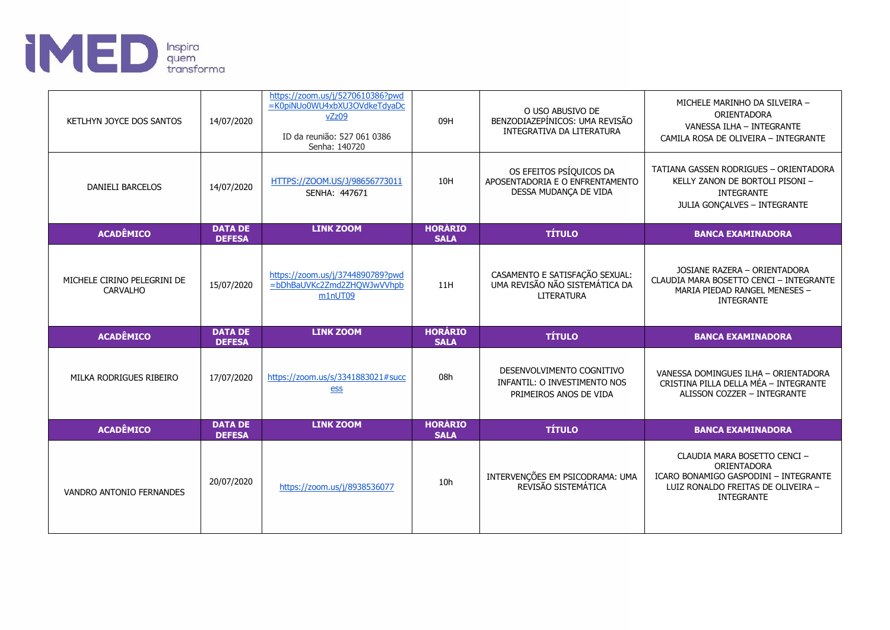

| KETLHYN JOYCE DOS SANTOS                       | 14/07/2020                      | https://zoom.us/j/5270610386?pwd<br>=K0piNUo0WU4xbXU3OVdkeTdyaDc<br>vZz09<br>ID da reunião: 527 061 0386<br>Senha: 140720 | 09H                           | O USO ABUSIVO DE<br>BENZODIAZEPÍNICOS: UMA REVISÃO<br><b>INTEGRATIVA DA LITERATURA</b> | MICHELE MARINHO DA SILVEIRA -<br>ORIENTADORA<br>VANESSA ILHA - INTEGRANTE<br>CAMILA ROSA DE OLIVEIRA - INTEGRANTE                               |
|------------------------------------------------|---------------------------------|---------------------------------------------------------------------------------------------------------------------------|-------------------------------|----------------------------------------------------------------------------------------|-------------------------------------------------------------------------------------------------------------------------------------------------|
| <b>DANIELI BARCELOS</b>                        | 14/07/2020                      | HTTPS://ZOOM.US/J/98656773011<br>SENHA: 447671                                                                            | 10H                           | OS EFEITOS PSÍQUICOS DA<br>APOSENTADORIA E O ENFRENTAMENTO<br>DESSA MUDANCA DE VIDA    | TATIANA GASSEN RODRIGUES - ORIENTADORA<br>KELLY ZANON DE BORTOLI PISONI -<br><b>INTEGRANTE</b><br>JULIA GONÇALVES - INTEGRANTE                  |
| <b>ACADÊMICO</b>                               | <b>DATA DE</b><br><b>DEFESA</b> | <b>LINK ZOOM</b>                                                                                                          | <b>HORÁRIO</b><br><b>SALA</b> | <b>TÍTULO</b>                                                                          | <b>BANCA EXAMINADORA</b>                                                                                                                        |
| MICHELE CIRINO PELEGRINI DE<br><b>CARVALHO</b> | 15/07/2020                      | https://zoom.us/j/3744890789?pwd<br>=bDhBaUVKc2Zmd2ZHQWJwVVhpb<br>m1nUT09                                                 | 11H                           | CASAMENTO E SATISFAÇÃO SEXUAL:<br>UMA REVISÃO NÃO SISTEMÁTICA DA<br><b>LITERATURA</b>  | JOSIANE RAZERA - ORIENTADORA<br>CLAUDIA MARA BOSETTO CENCI - INTEGRANTE<br>MARIA PIEDAD RANGEL MENESES -<br><b>INTEGRANTE</b>                   |
| <b>ACADÊMICO</b>                               | <b>DATA DE</b><br><b>DEFESA</b> | <b>LINK ZOOM</b>                                                                                                          | <b>HORÁRIO</b><br><b>SALA</b> | <b>TÍTULO</b>                                                                          | <b>BANCA EXAMINADORA</b>                                                                                                                        |
| MILKA RODRIGUES RIBEIRO                        | 17/07/2020                      | https://zoom.us/s/3341883021#succ<br>ess                                                                                  | 08h                           | DESENVOLVIMENTO COGNITIVO<br>INFANTIL: O INVESTIMENTO NOS<br>PRIMEIROS ANOS DE VIDA    | VANESSA DOMINGUES ILHA - ORIENTADORA<br>CRISTINA PILLA DELLA MÉA - INTEGRANTE<br>ALISSON COZZER - INTEGRANTE                                    |
| <b>ACADÊMICO</b>                               | <b>DATA DE</b><br><b>DEFESA</b> | <b>LINK ZOOM</b>                                                                                                          | <b>HORÁRIO</b><br><b>SALA</b> | <b>TÍTULO</b>                                                                          | <b>BANCA EXAMINADORA</b>                                                                                                                        |
| VANDRO ANTONIO FERNANDES                       | 20/07/2020                      | https://zoom.us/j/8938536077                                                                                              | 10h                           | INTERVENÇÕES EM PSICODRAMA: UMA<br>REVISÃO SISTEMÁTICA                                 | CLAUDIA MARA BOSETTO CENCI -<br>ORIENTADORA<br>ICARO BONAMIGO GASPODINI - INTEGRANTE<br>LUIZ RONALDO FREITAS DE OLIVEIRA -<br><b>INTEGRANTE</b> |